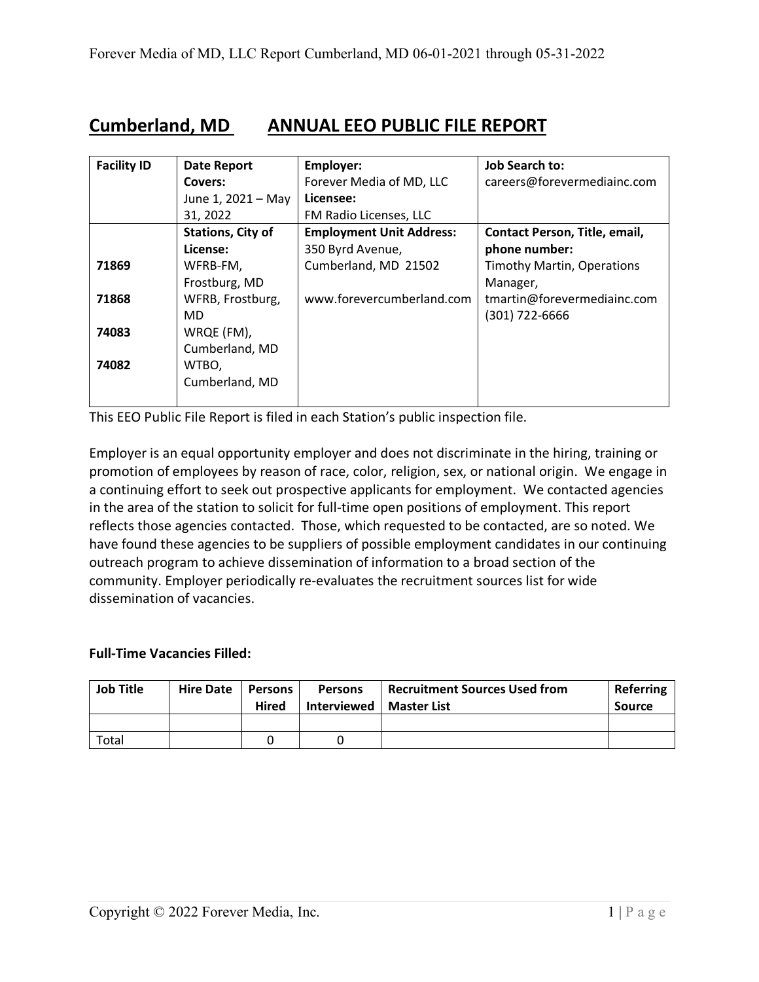## **Cumberland, MD ANNUAL EEO PUBLIC FILE REPORT**

| <b>Facility ID</b> | <b>Date Report</b>       | Employer:                       | <b>Job Search to:</b>             |
|--------------------|--------------------------|---------------------------------|-----------------------------------|
|                    | Covers:                  | Forever Media of MD, LLC        | careers@forevermediainc.com       |
|                    | June 1, 2021 - May       | Licensee:                       |                                   |
|                    | 31, 2022                 | FM Radio Licenses, LLC          |                                   |
|                    | <b>Stations, City of</b> | <b>Employment Unit Address:</b> | Contact Person, Title, email,     |
|                    | License:                 | 350 Byrd Avenue,                | phone number:                     |
| 71869              | WFRB-FM,                 | Cumberland, MD 21502            | <b>Timothy Martin, Operations</b> |
|                    | Frostburg, MD            |                                 | Manager,                          |
| 71868              | WFRB, Frostburg,         | www.forevercumberland.com       | tmartin@forevermediainc.com       |
|                    | MD.                      |                                 | $(301)$ 722-6666                  |
| 74083              | WRQE (FM),               |                                 |                                   |
|                    | Cumberland, MD           |                                 |                                   |
| 74082              | WTBO,                    |                                 |                                   |
|                    | Cumberland, MD           |                                 |                                   |
|                    |                          |                                 |                                   |

This EEO Public File Report is filed in each Station's public inspection file.

Employer is an equal opportunity employer and does not discriminate in the hiring, training or promotion of employees by reason of race, color, religion, sex, or national origin. We engage in a continuing effort to seek out prospective applicants for employment. We contacted agencies in the area of the station to solicit for full-time open positions of employment. This report reflects those agencies contacted. Those, which requested to be contacted, are so noted. We have found these agencies to be suppliers of possible employment candidates in our continuing outreach program to achieve dissemination of information to a broad section of the community. Employer periodically re-evaluates the recruitment sources list for wide dissemination of vacancies.

## **Full-Time Vacancies Filled:**

| <b>Job Title</b> | Hire Date | Persons<br><b>Hired</b> | <b>Persons</b><br>Interviewed   Master List | <b>Recruitment Sources Used from</b> | <b>Referring</b><br><b>Source</b> |
|------------------|-----------|-------------------------|---------------------------------------------|--------------------------------------|-----------------------------------|
|                  |           |                         |                                             |                                      |                                   |
| Total            |           |                         |                                             |                                      |                                   |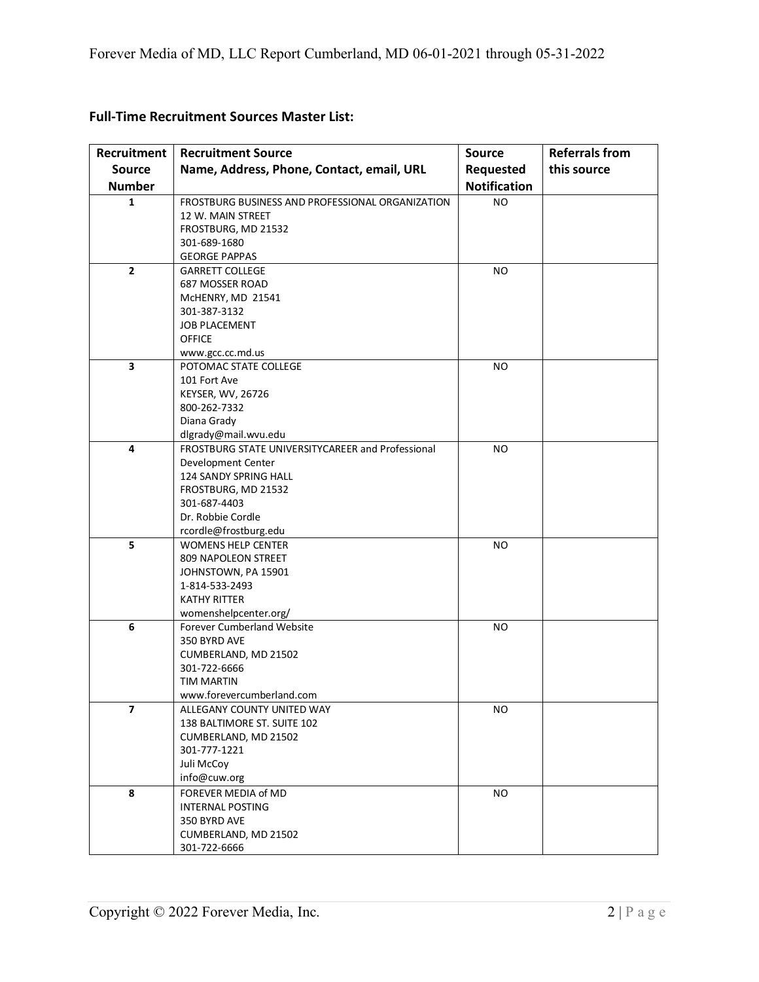| <b>Recruitment</b>      | <b>Recruitment Source</b>                         | <b>Source</b>       | <b>Referrals from</b> |
|-------------------------|---------------------------------------------------|---------------------|-----------------------|
| <b>Source</b>           | Name, Address, Phone, Contact, email, URL         | Requested           | this source           |
| <b>Number</b>           |                                                   | <b>Notification</b> |                       |
| $\mathbf{1}$            | FROSTBURG BUSINESS AND PROFESSIONAL ORGANIZATION  | <b>NO</b>           |                       |
|                         | 12 W. MAIN STREET                                 |                     |                       |
|                         | FROSTBURG, MD 21532                               |                     |                       |
|                         | 301-689-1680                                      |                     |                       |
|                         | <b>GEORGE PAPPAS</b>                              |                     |                       |
| $\mathbf{2}$            | <b>GARRETT COLLEGE</b>                            | <b>NO</b>           |                       |
|                         | 687 MOSSER ROAD                                   |                     |                       |
|                         | McHENRY, MD 21541                                 |                     |                       |
|                         | 301-387-3132                                      |                     |                       |
|                         | <b>JOB PLACEMENT</b>                              |                     |                       |
|                         | <b>OFFICE</b>                                     |                     |                       |
| 3                       | www.gcc.cc.md.us<br>POTOMAC STATE COLLEGE         | <b>NO</b>           |                       |
|                         | 101 Fort Ave                                      |                     |                       |
|                         | KEYSER, WV, 26726                                 |                     |                       |
|                         | 800-262-7332                                      |                     |                       |
|                         | Diana Grady                                       |                     |                       |
|                         | dlgrady@mail.wvu.edu                              |                     |                       |
| 4                       | FROSTBURG STATE UNIVERSITYCAREER and Professional | <b>NO</b>           |                       |
|                         | Development Center                                |                     |                       |
|                         | 124 SANDY SPRING HALL                             |                     |                       |
|                         | FROSTBURG, MD 21532                               |                     |                       |
|                         | 301-687-4403                                      |                     |                       |
|                         | Dr. Robbie Cordle                                 |                     |                       |
|                         | rcordle@frostburg.edu                             |                     |                       |
| 5                       | <b>WOMENS HELP CENTER</b>                         | <b>NO</b>           |                       |
|                         | 809 NAPOLEON STREET                               |                     |                       |
|                         | JOHNSTOWN, PA 15901                               |                     |                       |
|                         | 1-814-533-2493                                    |                     |                       |
|                         | <b>KATHY RITTER</b>                               |                     |                       |
|                         | womenshelpcenter.org/                             |                     |                       |
| 6                       | <b>Forever Cumberland Website</b>                 | <b>NO</b>           |                       |
|                         | 350 BYRD AVE                                      |                     |                       |
|                         | CUMBERLAND, MD 21502                              |                     |                       |
|                         | 301-722-6666<br><b>TIM MARTIN</b>                 |                     |                       |
|                         | www.forevercumberland.com                         |                     |                       |
| $\overline{\mathbf{z}}$ | ALLEGANY COUNTY UNITED WAY                        | <b>NO</b>           |                       |
|                         | 138 BALTIMORE ST. SUITE 102                       |                     |                       |
|                         | CUMBERLAND, MD 21502                              |                     |                       |
|                         | 301-777-1221                                      |                     |                       |
|                         | Juli McCoy                                        |                     |                       |
|                         | info@cuw.org                                      |                     |                       |
| 8                       | FOREVER MEDIA of MD                               | <b>NO</b>           |                       |
|                         | <b>INTERNAL POSTING</b>                           |                     |                       |
|                         | 350 BYRD AVE                                      |                     |                       |
|                         | CUMBERLAND, MD 21502                              |                     |                       |
|                         | 301-722-6666                                      |                     |                       |

## **Full-Time Recruitment Sources Master List:**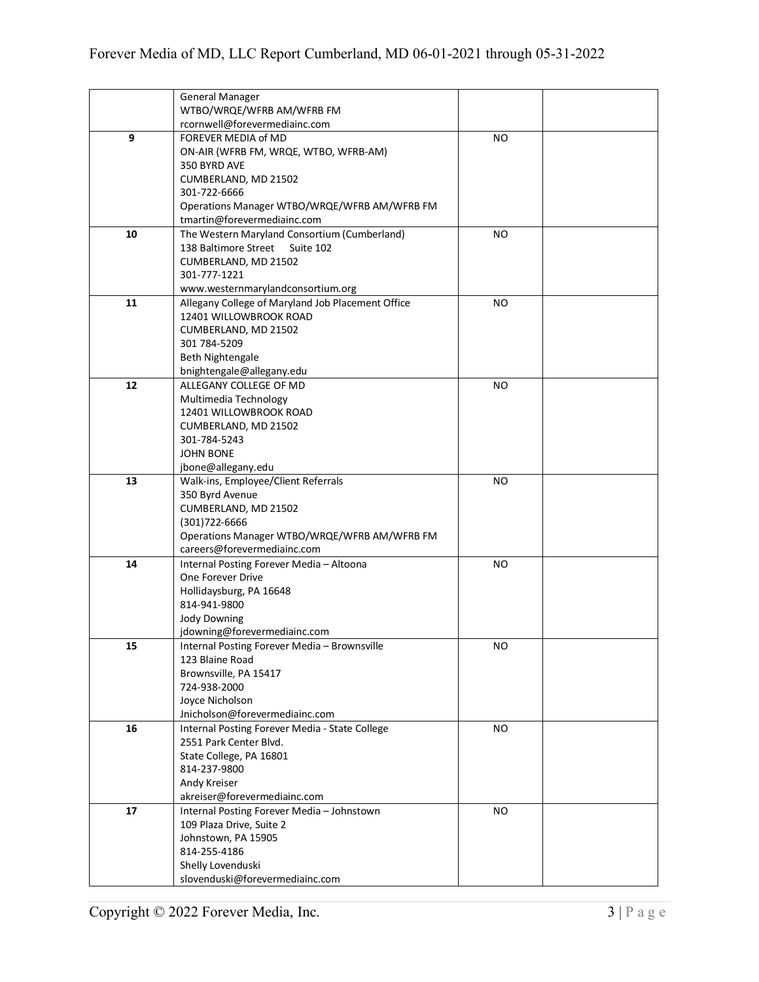|    | <b>General Manager</b>                            |           |  |
|----|---------------------------------------------------|-----------|--|
|    | WTBO/WRQE/WFRB AM/WFRB FM                         |           |  |
|    | rcornwell@forevermediainc.com                     |           |  |
| 9  | FOREVER MEDIA of MD                               | NO.       |  |
|    | ON-AIR (WFRB FM, WRQE, WTBO, WFRB-AM)             |           |  |
|    | 350 BYRD AVE                                      |           |  |
|    | CUMBERLAND, MD 21502                              |           |  |
|    | 301-722-6666                                      |           |  |
|    | Operations Manager WTBO/WRQE/WFRB AM/WFRB FM      |           |  |
|    | tmartin@forevermediainc.com                       |           |  |
| 10 | The Western Maryland Consortium (Cumberland)      | NO        |  |
|    | 138 Baltimore Street<br>Suite 102                 |           |  |
|    | CUMBERLAND, MD 21502                              |           |  |
|    | 301-777-1221                                      |           |  |
|    | www.westernmarylandconsortium.org                 |           |  |
| 11 | Allegany College of Maryland Job Placement Office | NO        |  |
|    | 12401 WILLOWBROOK ROAD                            |           |  |
|    | CUMBERLAND, MD 21502                              |           |  |
|    | 301 784-5209                                      |           |  |
|    | <b>Beth Nightengale</b>                           |           |  |
|    | bnightengale@allegany.edu                         |           |  |
| 12 | ALLEGANY COLLEGE OF MD                            | <b>NO</b> |  |
|    | Multimedia Technology                             |           |  |
|    | 12401 WILLOWBROOK ROAD                            |           |  |
|    | CUMBERLAND, MD 21502                              |           |  |
|    | 301-784-5243                                      |           |  |
|    | <b>JOHN BONE</b>                                  |           |  |
|    | jbone@allegany.edu                                |           |  |
| 13 | Walk-ins, Employee/Client Referrals               | <b>NO</b> |  |
|    | 350 Byrd Avenue                                   |           |  |
|    | CUMBERLAND, MD 21502                              |           |  |
|    | (301) 722-6666                                    |           |  |
|    | Operations Manager WTBO/WRQE/WFRB AM/WFRB FM      |           |  |
|    | careers@forevermediainc.com                       |           |  |
| 14 | Internal Posting Forever Media - Altoona          | <b>NO</b> |  |
|    | One Forever Drive                                 |           |  |
|    | Hollidaysburg, PA 16648                           |           |  |
|    | 814-941-9800                                      |           |  |
|    | <b>Jody Downing</b>                               |           |  |
|    | jdowning@forevermediainc.com                      |           |  |
| 15 | Internal Posting Forever Media - Brownsville      | NΟ        |  |
|    | 123 Blaine Road                                   |           |  |
|    | Brownsville, PA 15417                             |           |  |
|    | 724-938-2000                                      |           |  |
|    | Joyce Nicholson                                   |           |  |
|    | Jnicholson@forevermediainc.com                    |           |  |
| 16 | Internal Posting Forever Media - State College    | NO.       |  |
|    | 2551 Park Center Blvd.                            |           |  |
|    | State College, PA 16801                           |           |  |
|    | 814-237-9800                                      |           |  |
|    | Andy Kreiser                                      |           |  |
|    | akreiser@forevermediainc.com                      |           |  |
| 17 | Internal Posting Forever Media - Johnstown        | <b>NO</b> |  |
|    | 109 Plaza Drive, Suite 2                          |           |  |
|    | Johnstown, PA 15905                               |           |  |
|    | 814-255-4186                                      |           |  |
|    | Shelly Lovenduski                                 |           |  |
|    | slovenduski@forevermediainc.com                   |           |  |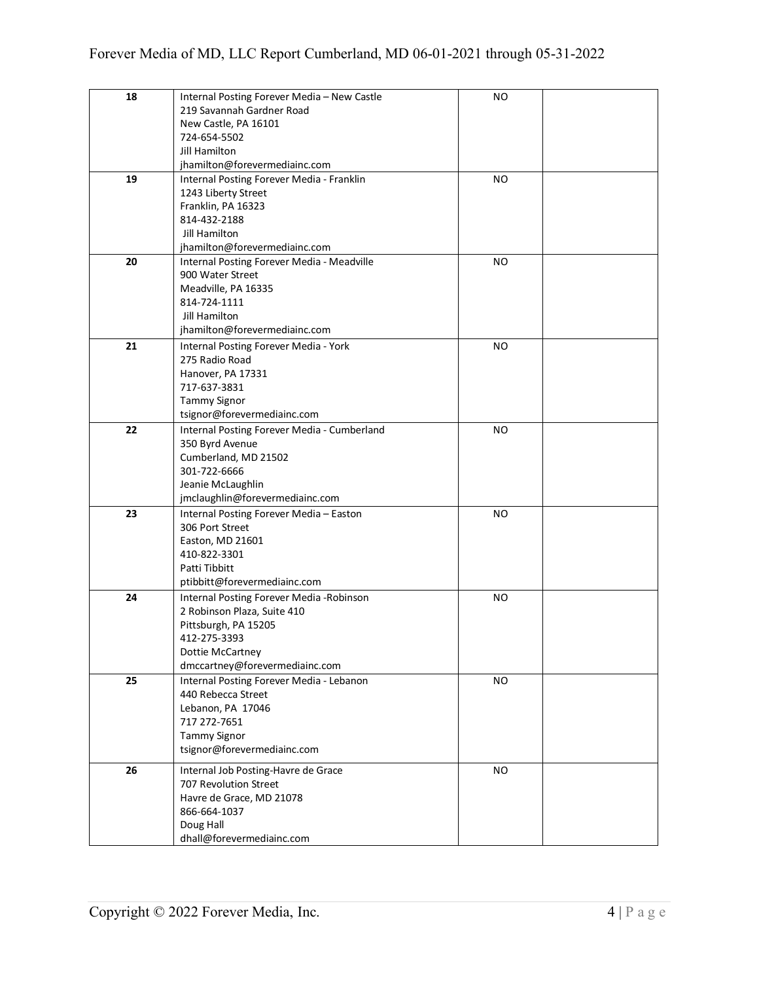| 18 | Internal Posting Forever Media - New Castle | NO.       |  |
|----|---------------------------------------------|-----------|--|
|    | 219 Savannah Gardner Road                   |           |  |
|    | New Castle, PA 16101                        |           |  |
|    | 724-654-5502                                |           |  |
|    | <b>Jill Hamilton</b>                        |           |  |
|    | jhamilton@forevermediainc.com               |           |  |
| 19 | Internal Posting Forever Media - Franklin   | <b>NO</b> |  |
|    | 1243 Liberty Street                         |           |  |
|    | Franklin, PA 16323                          |           |  |
|    | 814-432-2188                                |           |  |
|    | Jill Hamilton                               |           |  |
|    | jhamilton@forevermediainc.com               |           |  |
| 20 | Internal Posting Forever Media - Meadville  | <b>NO</b> |  |
|    | 900 Water Street                            |           |  |
|    | Meadville, PA 16335                         |           |  |
|    | 814-724-1111                                |           |  |
|    | Jill Hamilton                               |           |  |
|    | jhamilton@forevermediainc.com               |           |  |
|    |                                             |           |  |
| 21 | Internal Posting Forever Media - York       | <b>NO</b> |  |
|    | 275 Radio Road                              |           |  |
|    | Hanover, PA 17331                           |           |  |
|    | 717-637-3831                                |           |  |
|    | <b>Tammy Signor</b>                         |           |  |
|    | tsignor@forevermediainc.com                 |           |  |
| 22 | Internal Posting Forever Media - Cumberland | <b>NO</b> |  |
|    | 350 Byrd Avenue                             |           |  |
|    | Cumberland, MD 21502                        |           |  |
|    | 301-722-6666                                |           |  |
|    | Jeanie McLaughlin                           |           |  |
|    | jmclaughlin@forevermediainc.com             |           |  |
| 23 | Internal Posting Forever Media - Easton     | NO        |  |
|    | 306 Port Street                             |           |  |
|    | Easton, MD 21601                            |           |  |
|    | 410-822-3301                                |           |  |
|    | Patti Tibbitt                               |           |  |
|    | ptibbitt@forevermediainc.com                |           |  |
| 24 | Internal Posting Forever Media - Robinson   | <b>NO</b> |  |
|    | 2 Robinson Plaza, Suite 410                 |           |  |
|    | Pittsburgh, PA 15205                        |           |  |
|    | 412-275-3393                                |           |  |
|    | Dottie McCartney                            |           |  |
|    | dmccartney@forevermediainc.com              |           |  |
|    |                                             |           |  |
| 25 | Internal Posting Forever Media - Lebanon    | <b>NO</b> |  |
|    | 440 Rebecca Street                          |           |  |
|    | Lebanon, PA 17046                           |           |  |
|    | 717 272-7651                                |           |  |
|    | <b>Tammy Signor</b>                         |           |  |
|    | tsignor@forevermediainc.com                 |           |  |
| 26 | Internal Job Posting-Havre de Grace         | <b>NO</b> |  |
|    | 707 Revolution Street                       |           |  |
|    | Havre de Grace, MD 21078                    |           |  |
|    | 866-664-1037                                |           |  |
|    | Doug Hall                                   |           |  |
|    | dhall@forevermediainc.com                   |           |  |
|    |                                             |           |  |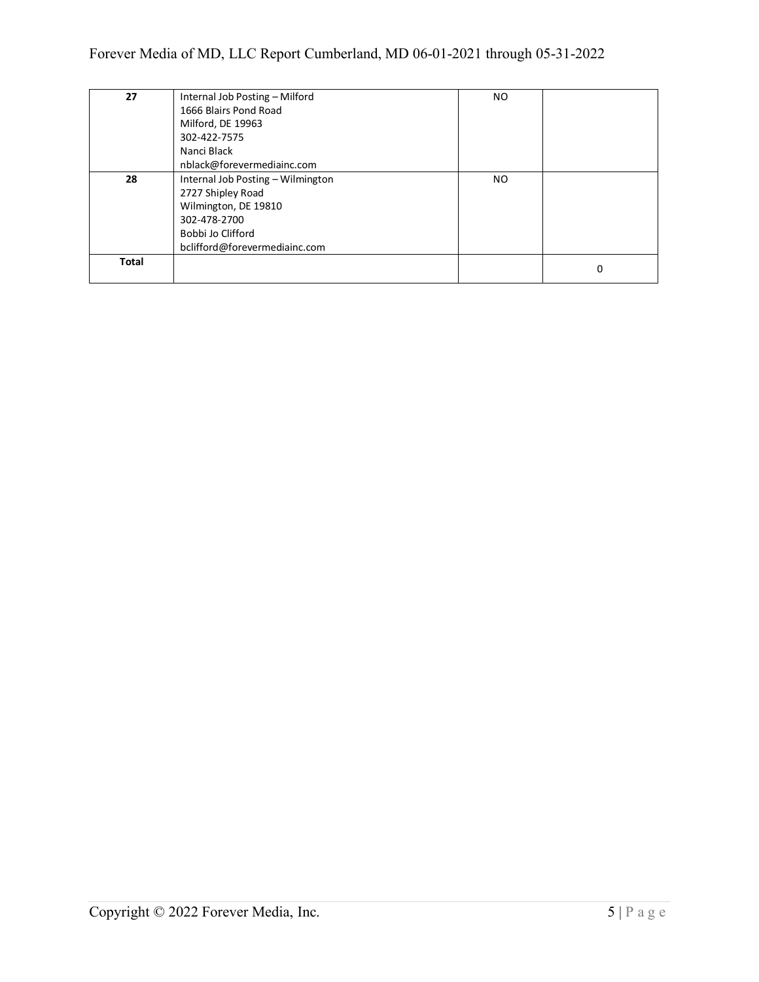| 27    | Internal Job Posting - Milford    | NO. |   |
|-------|-----------------------------------|-----|---|
|       | 1666 Blairs Pond Road             |     |   |
|       | Milford, DE 19963                 |     |   |
|       | 302-422-7575                      |     |   |
|       | Nanci Black                       |     |   |
|       | nblack@forevermediainc.com        |     |   |
| 28    | Internal Job Posting - Wilmington | NO. |   |
|       | 2727 Shipley Road                 |     |   |
|       | Wilmington, DE 19810              |     |   |
|       | 302-478-2700                      |     |   |
|       | Bobbi Jo Clifford                 |     |   |
|       | bclifford@forevermediainc.com     |     |   |
| Total |                                   |     | 0 |
|       |                                   |     |   |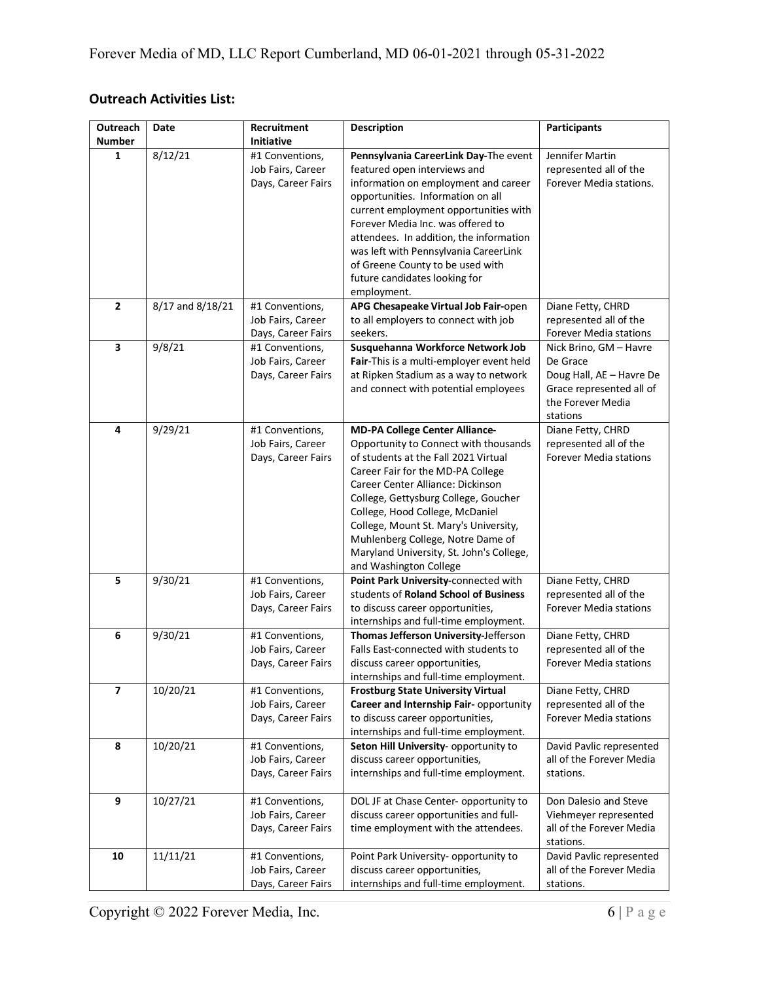## **Outreach Activities List:**

| Outreach<br><b>Number</b> | Date             | Recruitment<br><b>Initiative</b>        | <b>Description</b>                                                            | <b>Participants</b>                                     |
|---------------------------|------------------|-----------------------------------------|-------------------------------------------------------------------------------|---------------------------------------------------------|
| 1                         | 8/12/21          | #1 Conventions,                         | Pennsylvania CareerLink Day-The event                                         | Jennifer Martin                                         |
|                           |                  | Job Fairs, Career                       | featured open interviews and                                                  | represented all of the                                  |
|                           |                  | Days, Career Fairs                      | information on employment and career                                          | Forever Media stations.                                 |
|                           |                  |                                         | opportunities. Information on all                                             |                                                         |
|                           |                  |                                         | current employment opportunities with                                         |                                                         |
|                           |                  |                                         | Forever Media Inc. was offered to                                             |                                                         |
|                           |                  |                                         | attendees. In addition, the information                                       |                                                         |
|                           |                  |                                         | was left with Pennsylvania CareerLink                                         |                                                         |
|                           |                  |                                         | of Greene County to be used with                                              |                                                         |
|                           |                  |                                         | future candidates looking for                                                 |                                                         |
|                           |                  |                                         | employment.                                                                   |                                                         |
| $\overline{2}$            | 8/17 and 8/18/21 | #1 Conventions,                         | APG Chesapeake Virtual Job Fair-open                                          | Diane Fetty, CHRD                                       |
|                           |                  | Job Fairs, Career                       | to all employers to connect with job                                          | represented all of the                                  |
| 3                         | 9/8/21           | Days, Career Fairs<br>#1 Conventions,   | seekers.<br>Susquehanna Workforce Network Job                                 | Forever Media stations<br>Nick Brino, GM - Havre        |
|                           |                  | Job Fairs, Career                       | Fair-This is a multi-employer event held                                      | De Grace                                                |
|                           |                  | Days, Career Fairs                      | at Ripken Stadium as a way to network                                         | Doug Hall, AE - Havre De                                |
|                           |                  |                                         | and connect with potential employees                                          | Grace represented all of                                |
|                           |                  |                                         |                                                                               | the Forever Media                                       |
|                           |                  |                                         |                                                                               | stations                                                |
| 4                         | 9/29/21          | #1 Conventions,                         | <b>MD-PA College Center Alliance-</b>                                         | Diane Fetty, CHRD                                       |
|                           |                  | Job Fairs, Career                       | Opportunity to Connect with thousands                                         | represented all of the                                  |
|                           |                  | Days, Career Fairs                      | of students at the Fall 2021 Virtual                                          | <b>Forever Media stations</b>                           |
|                           |                  |                                         | Career Fair for the MD-PA College                                             |                                                         |
|                           |                  |                                         | Career Center Alliance: Dickinson                                             |                                                         |
|                           |                  |                                         | College, Gettysburg College, Goucher                                          |                                                         |
|                           |                  |                                         | College, Hood College, McDaniel                                               |                                                         |
|                           |                  |                                         | College, Mount St. Mary's University,                                         |                                                         |
|                           |                  |                                         | Muhlenberg College, Notre Dame of<br>Maryland University, St. John's College, |                                                         |
|                           |                  |                                         | and Washington College                                                        |                                                         |
| 5                         | 9/30/21          | #1 Conventions,                         | Point Park University-connected with                                          | Diane Fetty, CHRD                                       |
|                           |                  | Job Fairs, Career                       | students of Roland School of Business                                         | represented all of the                                  |
|                           |                  | Days, Career Fairs                      | to discuss career opportunities,                                              | <b>Forever Media stations</b>                           |
|                           |                  |                                         | internships and full-time employment.                                         |                                                         |
| 6                         | 9/30/21          | #1 Conventions,                         | Thomas Jefferson University-Jefferson                                         | Diane Fetty, CHRD                                       |
|                           |                  | Job Fairs, Career                       | Falls East-connected with students to                                         | represented all of the                                  |
|                           |                  | Days, Career Fairs                      | discuss career opportunities,                                                 | <b>Forever Media stations</b>                           |
|                           |                  |                                         | internships and full-time employment.                                         |                                                         |
| $\overline{7}$            | 10/20/21         | #1 Conventions,                         | <b>Frostburg State University Virtual</b>                                     | Diane Fetty, CHRD                                       |
|                           |                  | Job Fairs, Career<br>Days, Career Fairs | Career and Internship Fair- opportunity<br>to discuss career opportunities,   | represented all of the<br><b>Forever Media stations</b> |
|                           |                  |                                         | internships and full-time employment.                                         |                                                         |
| 8                         | 10/20/21         | #1 Conventions,                         | Seton Hill University- opportunity to                                         | David Pavlic represented                                |
|                           |                  | Job Fairs, Career                       | discuss career opportunities,                                                 | all of the Forever Media                                |
|                           |                  | Days, Career Fairs                      | internships and full-time employment.                                         | stations.                                               |
|                           |                  |                                         |                                                                               |                                                         |
| 9                         | 10/27/21         | #1 Conventions,                         | DOL JF at Chase Center- opportunity to                                        | Don Dalesio and Steve                                   |
|                           |                  | Job Fairs, Career                       | discuss career opportunities and full-                                        | Viehmeyer represented                                   |
|                           |                  | Days, Career Fairs                      | time employment with the attendees.                                           | all of the Forever Media                                |
|                           |                  |                                         |                                                                               | stations.                                               |
| 10                        | 11/11/21         | #1 Conventions,                         | Point Park University- opportunity to                                         | David Pavlic represented                                |
|                           |                  | Job Fairs, Career                       | discuss career opportunities,                                                 | all of the Forever Media                                |
|                           |                  | Days, Career Fairs                      | internships and full-time employment.                                         | stations.                                               |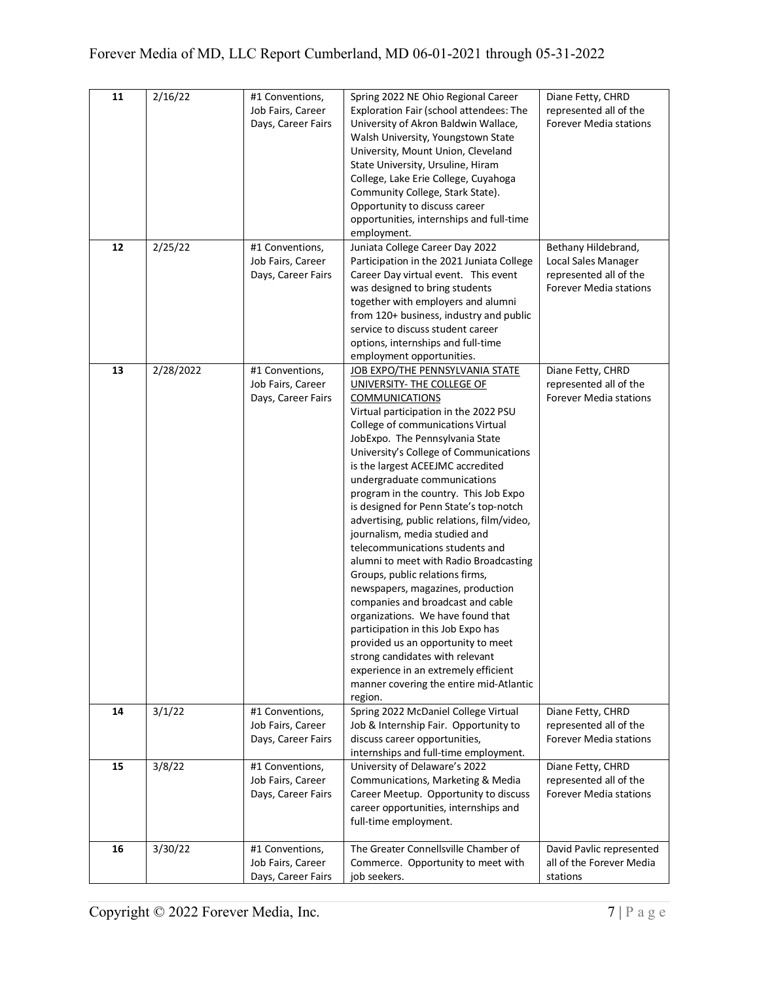| 11 | 2/16/22   | #1 Conventions,<br>Job Fairs, Career<br>Days, Career Fairs | Spring 2022 NE Ohio Regional Career<br>Exploration Fair (school attendees: The<br>University of Akron Baldwin Wallace,<br>Walsh University, Youngstown State<br>University, Mount Union, Cleveland<br>State University, Ursuline, Hiram<br>College, Lake Erie College, Cuyahoga<br>Community College, Stark State).<br>Opportunity to discuss career<br>opportunities, internships and full-time<br>employment.                                                                                                                                                                                                                                                                                                                                                                                                                                                                                                                                                   | Diane Fetty, CHRD<br>represented all of the<br>Forever Media stations                                 |
|----|-----------|------------------------------------------------------------|-------------------------------------------------------------------------------------------------------------------------------------------------------------------------------------------------------------------------------------------------------------------------------------------------------------------------------------------------------------------------------------------------------------------------------------------------------------------------------------------------------------------------------------------------------------------------------------------------------------------------------------------------------------------------------------------------------------------------------------------------------------------------------------------------------------------------------------------------------------------------------------------------------------------------------------------------------------------|-------------------------------------------------------------------------------------------------------|
| 12 | 2/25/22   | #1 Conventions,<br>Job Fairs, Career<br>Days, Career Fairs | Juniata College Career Day 2022<br>Participation in the 2021 Juniata College<br>Career Day virtual event. This event<br>was designed to bring students<br>together with employers and alumni<br>from 120+ business, industry and public<br>service to discuss student career<br>options, internships and full-time                                                                                                                                                                                                                                                                                                                                                                                                                                                                                                                                                                                                                                                | Bethany Hildebrand,<br>Local Sales Manager<br>represented all of the<br><b>Forever Media stations</b> |
| 13 | 2/28/2022 | #1 Conventions,<br>Job Fairs, Career<br>Days, Career Fairs | employment opportunities.<br>JOB EXPO/THE PENNSYLVANIA STATE<br>UNIVERSITY- THE COLLEGE OF<br><b>COMMUNICATIONS</b><br>Virtual participation in the 2022 PSU<br>College of communications Virtual<br>JobExpo. The Pennsylvania State<br>University's College of Communications<br>is the largest ACEEJMC accredited<br>undergraduate communications<br>program in the country. This Job Expo<br>is designed for Penn State's top-notch<br>advertising, public relations, film/video,<br>journalism, media studied and<br>telecommunications students and<br>alumni to meet with Radio Broadcasting<br>Groups, public relations firms,<br>newspapers, magazines, production<br>companies and broadcast and cable<br>organizations. We have found that<br>participation in this Job Expo has<br>provided us an opportunity to meet<br>strong candidates with relevant<br>experience in an extremely efficient<br>manner covering the entire mid-Atlantic<br>region. | Diane Fetty, CHRD<br>represented all of the<br><b>Forever Media stations</b>                          |
| 14 | 3/1/22    | #1 Conventions,<br>Job Fairs, Career<br>Days, Career Fairs | Spring 2022 McDaniel College Virtual<br>Job & Internship Fair. Opportunity to<br>discuss career opportunities,<br>internships and full-time employment.                                                                                                                                                                                                                                                                                                                                                                                                                                                                                                                                                                                                                                                                                                                                                                                                           | Diane Fetty, CHRD<br>represented all of the<br><b>Forever Media stations</b>                          |
| 15 | 3/8/22    | #1 Conventions,<br>Job Fairs, Career<br>Days, Career Fairs | University of Delaware's 2022<br>Communications, Marketing & Media<br>Career Meetup. Opportunity to discuss<br>career opportunities, internships and<br>full-time employment.                                                                                                                                                                                                                                                                                                                                                                                                                                                                                                                                                                                                                                                                                                                                                                                     | Diane Fetty, CHRD<br>represented all of the<br><b>Forever Media stations</b>                          |
| 16 | 3/30/22   | #1 Conventions,<br>Job Fairs, Career<br>Days, Career Fairs | The Greater Connellsville Chamber of<br>Commerce. Opportunity to meet with<br>job seekers.                                                                                                                                                                                                                                                                                                                                                                                                                                                                                                                                                                                                                                                                                                                                                                                                                                                                        | David Pavlic represented<br>all of the Forever Media<br>stations                                      |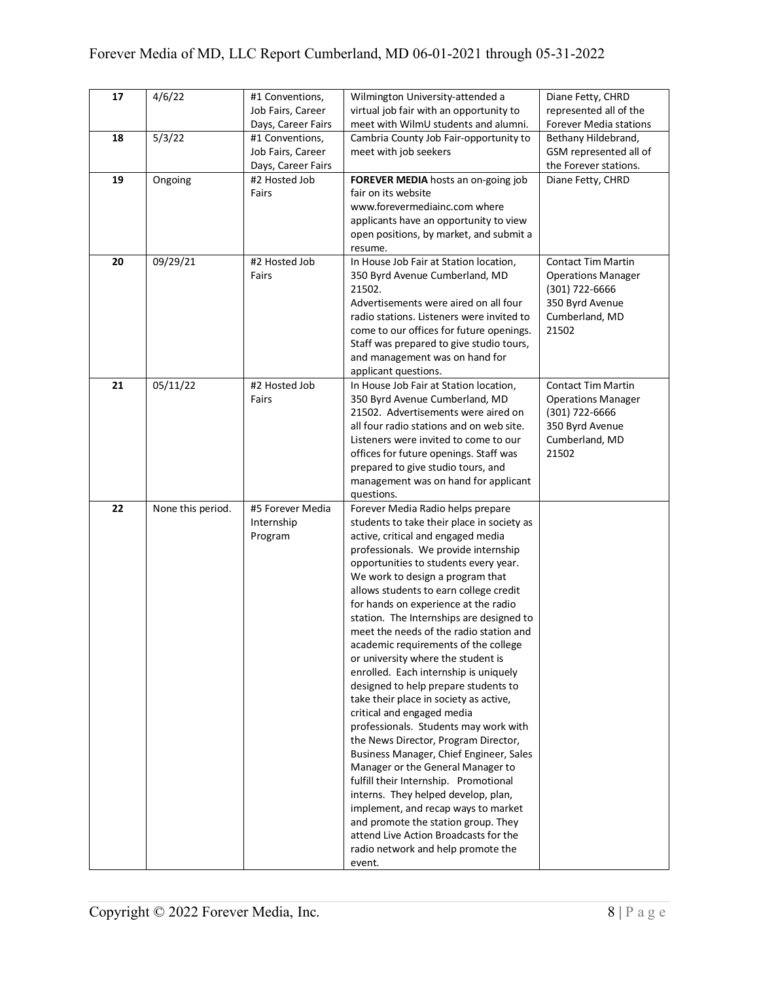| 17 | 4/6/22            | #1 Conventions,    | Wilmington University-attended a           | Diane Fetty, CHRD         |
|----|-------------------|--------------------|--------------------------------------------|---------------------------|
|    |                   | Job Fairs, Career  | virtual job fair with an opportunity to    | represented all of the    |
|    |                   | Days, Career Fairs | meet with WilmU students and alumni.       | Forever Media stations    |
| 18 | 5/3/22            | #1 Conventions,    | Cambria County Job Fair-opportunity to     | Bethany Hildebrand,       |
|    |                   | Job Fairs, Career  | meet with job seekers                      | GSM represented all of    |
|    |                   | Days, Career Fairs |                                            | the Forever stations.     |
| 19 | Ongoing           | #2 Hosted Job      | FOREVER MEDIA hosts an on-going job        | Diane Fetty, CHRD         |
|    |                   | Fairs              | fair on its website                        |                           |
|    |                   |                    | www.forevermediainc.com where              |                           |
|    |                   |                    |                                            |                           |
|    |                   |                    | applicants have an opportunity to view     |                           |
|    |                   |                    | open positions, by market, and submit a    |                           |
|    |                   |                    | resume.                                    |                           |
| 20 | 09/29/21          | #2 Hosted Job      | In House Job Fair at Station location,     | <b>Contact Tim Martin</b> |
|    |                   | Fairs              | 350 Byrd Avenue Cumberland, MD             | <b>Operations Manager</b> |
|    |                   |                    | 21502.                                     | (301) 722-6666            |
|    |                   |                    | Advertisements were aired on all four      | 350 Byrd Avenue           |
|    |                   |                    | radio stations. Listeners were invited to  | Cumberland, MD            |
|    |                   |                    | come to our offices for future openings.   | 21502                     |
|    |                   |                    | Staff was prepared to give studio tours,   |                           |
|    |                   |                    | and management was on hand for             |                           |
|    |                   |                    |                                            |                           |
|    |                   |                    | applicant questions.                       |                           |
| 21 | 05/11/22          | #2 Hosted Job      | In House Job Fair at Station location,     | <b>Contact Tim Martin</b> |
|    |                   | Fairs              | 350 Byrd Avenue Cumberland, MD             | <b>Operations Manager</b> |
|    |                   |                    | 21502. Advertisements were aired on        | (301) 722-6666            |
|    |                   |                    | all four radio stations and on web site.   | 350 Byrd Avenue           |
|    |                   |                    | Listeners were invited to come to our      | Cumberland, MD            |
|    |                   |                    | offices for future openings. Staff was     | 21502                     |
|    |                   |                    | prepared to give studio tours, and         |                           |
|    |                   |                    | management was on hand for applicant       |                           |
|    |                   |                    | questions.                                 |                           |
| 22 | None this period. | #5 Forever Media   | Forever Media Radio helps prepare          |                           |
|    |                   | Internship         | students to take their place in society as |                           |
|    |                   | Program            | active, critical and engaged media         |                           |
|    |                   |                    | professionals. We provide internship       |                           |
|    |                   |                    |                                            |                           |
|    |                   |                    | opportunities to students every year.      |                           |
|    |                   |                    | We work to design a program that           |                           |
|    |                   |                    | allows students to earn college credit     |                           |
|    |                   |                    | for hands on experience at the radio       |                           |
|    |                   |                    | station. The Internships are designed to   |                           |
|    |                   |                    | meet the needs of the radio station and    |                           |
|    |                   |                    | academic requirements of the college       |                           |
|    |                   |                    | or university where the student is         |                           |
|    |                   |                    | enrolled. Each internship is uniquely      |                           |
|    |                   |                    | designed to help prepare students to       |                           |
|    |                   |                    | take their place in society as active,     |                           |
|    |                   |                    | critical and engaged media                 |                           |
|    |                   |                    | professionals. Students may work with      |                           |
|    |                   |                    | the News Director, Program Director,       |                           |
|    |                   |                    | Business Manager, Chief Engineer, Sales    |                           |
|    |                   |                    | Manager or the General Manager to          |                           |
|    |                   |                    | fulfill their Internship. Promotional      |                           |
|    |                   |                    |                                            |                           |
|    |                   |                    | interns. They helped develop, plan,        |                           |
|    |                   |                    | implement, and recap ways to market        |                           |
|    |                   |                    | and promote the station group. They        |                           |
|    |                   |                    | attend Live Action Broadcasts for the      |                           |
|    |                   |                    | radio network and help promote the         |                           |
|    |                   |                    | event.                                     |                           |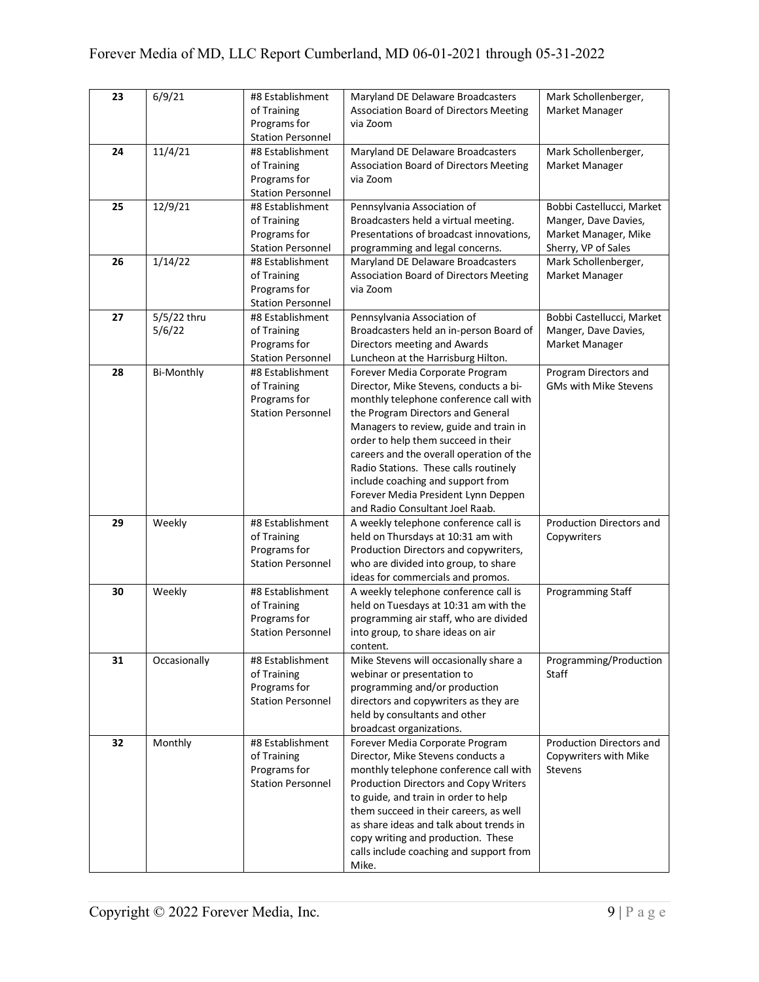| 23 | 6/9/21                | #8 Establishment<br>of Training<br>Programs for<br><b>Station Personnel</b> | Maryland DE Delaware Broadcasters<br>Association Board of Directors Meeting<br>via Zoom                                                                                                                                                                                                                                                                                                                                                       | Mark Schollenberger,<br>Market Manager                                                           |
|----|-----------------------|-----------------------------------------------------------------------------|-----------------------------------------------------------------------------------------------------------------------------------------------------------------------------------------------------------------------------------------------------------------------------------------------------------------------------------------------------------------------------------------------------------------------------------------------|--------------------------------------------------------------------------------------------------|
| 24 | 11/4/21               | #8 Establishment<br>of Training<br>Programs for<br><b>Station Personnel</b> | Maryland DE Delaware Broadcasters<br>Association Board of Directors Meeting<br>via Zoom                                                                                                                                                                                                                                                                                                                                                       | Mark Schollenberger,<br>Market Manager                                                           |
| 25 | 12/9/21               | #8 Establishment<br>of Training<br>Programs for<br><b>Station Personnel</b> | Pennsylvania Association of<br>Broadcasters held a virtual meeting.<br>Presentations of broadcast innovations,<br>programming and legal concerns.                                                                                                                                                                                                                                                                                             | Bobbi Castellucci, Market<br>Manger, Dave Davies,<br>Market Manager, Mike<br>Sherry, VP of Sales |
| 26 | 1/14/22               | #8 Establishment<br>of Training<br>Programs for<br><b>Station Personnel</b> | Maryland DE Delaware Broadcasters<br><b>Association Board of Directors Meeting</b><br>via Zoom                                                                                                                                                                                                                                                                                                                                                | Mark Schollenberger,<br>Market Manager                                                           |
| 27 | 5/5/22 thru<br>5/6/22 | #8 Establishment<br>of Training<br>Programs for<br><b>Station Personnel</b> | Pennsylvania Association of<br>Broadcasters held an in-person Board of<br>Directors meeting and Awards<br>Luncheon at the Harrisburg Hilton.                                                                                                                                                                                                                                                                                                  | Bobbi Castellucci, Market<br>Manger, Dave Davies,<br>Market Manager                              |
| 28 | <b>Bi-Monthly</b>     | #8 Establishment<br>of Training<br>Programs for<br><b>Station Personnel</b> | Forever Media Corporate Program<br>Director, Mike Stevens, conducts a bi-<br>monthly telephone conference call with<br>the Program Directors and General<br>Managers to review, guide and train in<br>order to help them succeed in their<br>careers and the overall operation of the<br>Radio Stations. These calls routinely<br>include coaching and support from<br>Forever Media President Lynn Deppen<br>and Radio Consultant Joel Raab. | Program Directors and<br>GMs with Mike Stevens                                                   |
| 29 | Weekly                | #8 Establishment<br>of Training<br>Programs for<br><b>Station Personnel</b> | A weekly telephone conference call is<br>held on Thursdays at 10:31 am with<br>Production Directors and copywriters,<br>who are divided into group, to share<br>ideas for commercials and promos.                                                                                                                                                                                                                                             | Production Directors and<br>Copywriters                                                          |
| 30 | Weekly                | #8 Establishment<br>of Training<br>Programs for<br><b>Station Personnel</b> | A weekly telephone conference call is<br>held on Tuesdays at 10:31 am with the<br>programming air staff, who are divided<br>into group, to share ideas on air<br>content.                                                                                                                                                                                                                                                                     | Programming Staff                                                                                |
| 31 | Occasionally          | #8 Establishment<br>of Training<br>Programs for<br><b>Station Personnel</b> | Mike Stevens will occasionally share a<br>webinar or presentation to<br>programming and/or production<br>directors and copywriters as they are<br>held by consultants and other<br>broadcast organizations.                                                                                                                                                                                                                                   | Programming/Production<br>Staff                                                                  |
| 32 | Monthly               | #8 Establishment<br>of Training<br>Programs for<br><b>Station Personnel</b> | Forever Media Corporate Program<br>Director, Mike Stevens conducts a<br>monthly telephone conference call with<br>Production Directors and Copy Writers<br>to guide, and train in order to help<br>them succeed in their careers, as well<br>as share ideas and talk about trends in<br>copy writing and production. These<br>calls include coaching and support from<br>Mike.                                                                | Production Directors and<br>Copywriters with Mike<br><b>Stevens</b>                              |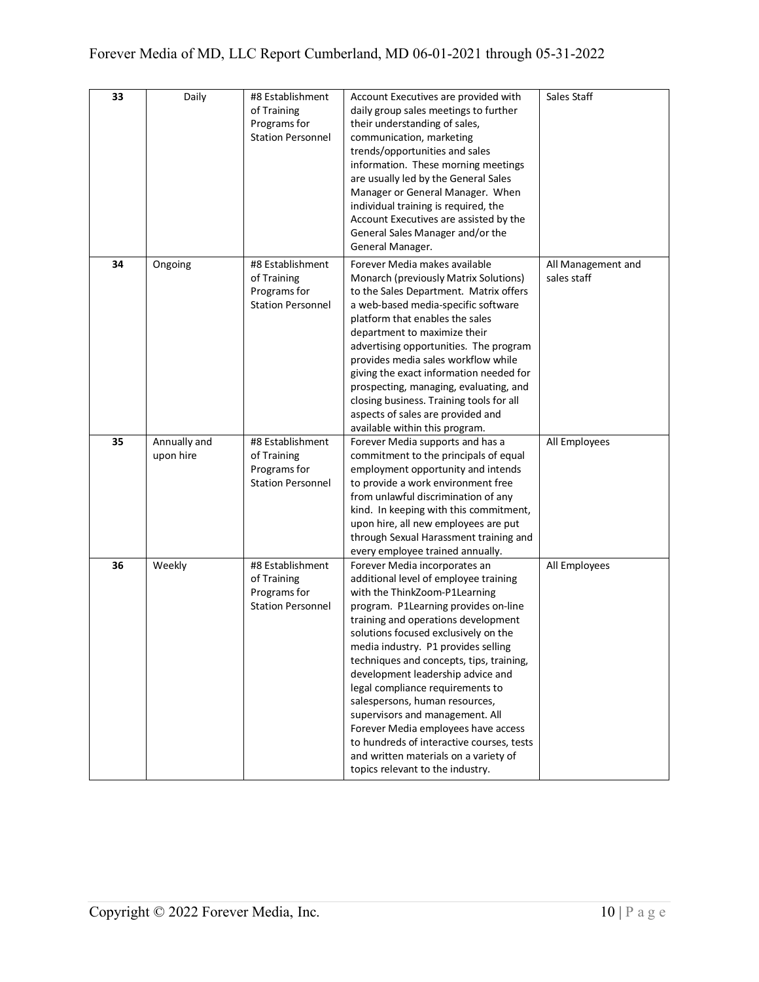| 33 | Daily        | #8 Establishment                | Account Executives are provided with                                   | Sales Staff        |
|----|--------------|---------------------------------|------------------------------------------------------------------------|--------------------|
|    |              | of Training                     | daily group sales meetings to further                                  |                    |
|    |              | Programs for                    | their understanding of sales,                                          |                    |
|    |              | <b>Station Personnel</b>        | communication, marketing                                               |                    |
|    |              |                                 | trends/opportunities and sales                                         |                    |
|    |              |                                 | information. These morning meetings                                    |                    |
|    |              |                                 | are usually led by the General Sales                                   |                    |
|    |              |                                 | Manager or General Manager. When                                       |                    |
|    |              |                                 | individual training is required, the                                   |                    |
|    |              |                                 | Account Executives are assisted by the                                 |                    |
|    |              |                                 |                                                                        |                    |
|    |              |                                 | General Sales Manager and/or the<br>General Manager.                   |                    |
|    |              |                                 |                                                                        |                    |
| 34 | Ongoing      | #8 Establishment                | Forever Media makes available                                          | All Management and |
|    |              | of Training                     | Monarch (previously Matrix Solutions)                                  | sales staff        |
|    |              | Programs for                    | to the Sales Department. Matrix offers                                 |                    |
|    |              | <b>Station Personnel</b>        | a web-based media-specific software                                    |                    |
|    |              |                                 | platform that enables the sales                                        |                    |
|    |              |                                 | department to maximize their                                           |                    |
|    |              |                                 | advertising opportunities. The program                                 |                    |
|    |              |                                 | provides media sales workflow while                                    |                    |
|    |              |                                 | giving the exact information needed for                                |                    |
|    |              |                                 | prospecting, managing, evaluating, and                                 |                    |
|    |              |                                 | closing business. Training tools for all                               |                    |
|    |              |                                 | aspects of sales are provided and                                      |                    |
|    |              |                                 | available within this program.                                         |                    |
| 35 | Annually and | #8 Establishment                | Forever Media supports and has a                                       | All Employees      |
|    | upon hire    | of Training                     | commitment to the principals of equal                                  |                    |
|    |              | Programs for                    | employment opportunity and intends                                     |                    |
|    |              | <b>Station Personnel</b>        | to provide a work environment free                                     |                    |
|    |              |                                 | from unlawful discrimination of any                                    |                    |
|    |              |                                 | kind. In keeping with this commitment,                                 |                    |
|    |              |                                 | upon hire, all new employees are put                                   |                    |
|    |              |                                 | through Sexual Harassment training and                                 |                    |
|    |              |                                 | every employee trained annually.                                       |                    |
| 36 | Weekly       | #8 Establishment<br>of Training | Forever Media incorporates an                                          | All Employees      |
|    |              | Programs for                    | additional level of employee training<br>with the ThinkZoom-P1Learning |                    |
|    |              | <b>Station Personnel</b>        | program. P1Learning provides on-line                                   |                    |
|    |              |                                 | training and operations development                                    |                    |
|    |              |                                 | solutions focused exclusively on the                                   |                    |
|    |              |                                 | media industry. P1 provides selling                                    |                    |
|    |              |                                 | techniques and concepts, tips, training,                               |                    |
|    |              |                                 | development leadership advice and                                      |                    |
|    |              |                                 | legal compliance requirements to                                       |                    |
|    |              |                                 | salespersons, human resources,                                         |                    |
|    |              |                                 | supervisors and management. All                                        |                    |
|    |              |                                 | Forever Media employees have access                                    |                    |
|    |              |                                 | to hundreds of interactive courses, tests                              |                    |
|    |              |                                 | and written materials on a variety of                                  |                    |
|    |              |                                 | topics relevant to the industry.                                       |                    |
|    |              |                                 |                                                                        |                    |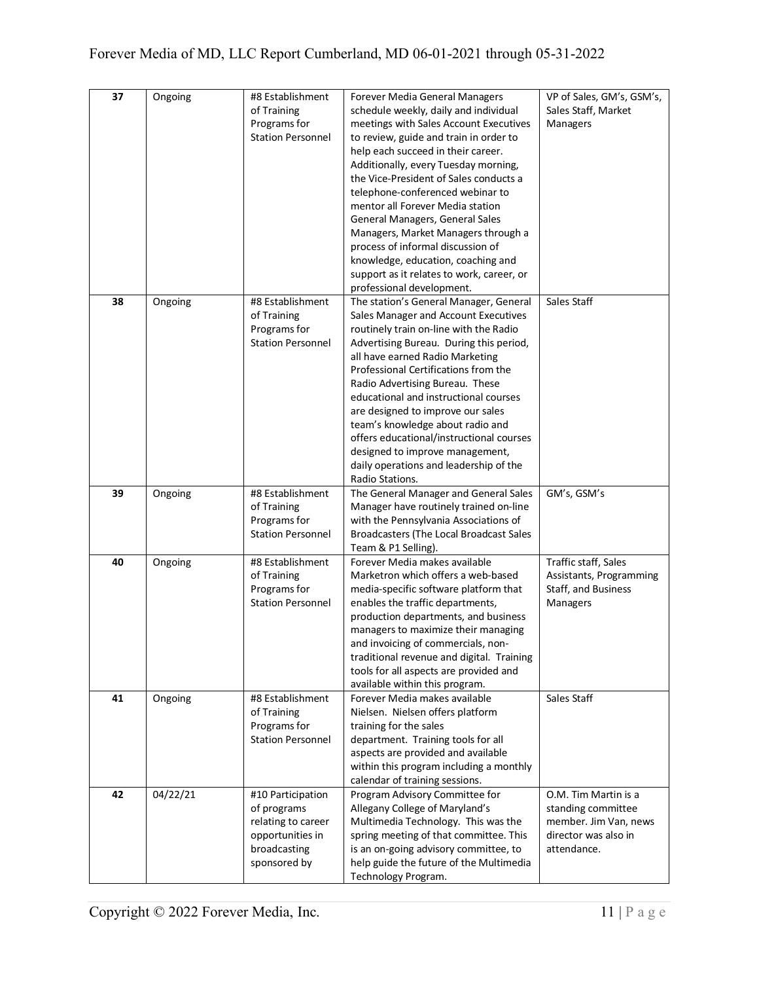| 37 | Ongoing  | #8 Establishment            | Forever Media General Managers                                                  | VP of Sales, GM's, GSM's, |
|----|----------|-----------------------------|---------------------------------------------------------------------------------|---------------------------|
|    |          | of Training                 | schedule weekly, daily and individual                                           | Sales Staff, Market       |
|    |          | Programs for                | meetings with Sales Account Executives                                          | Managers                  |
|    |          | <b>Station Personnel</b>    | to review, guide and train in order to                                          |                           |
|    |          |                             | help each succeed in their career.                                              |                           |
|    |          |                             | Additionally, every Tuesday morning,                                            |                           |
|    |          |                             | the Vice-President of Sales conducts a                                          |                           |
|    |          |                             | telephone-conferenced webinar to                                                |                           |
|    |          |                             | mentor all Forever Media station                                                |                           |
|    |          |                             | General Managers, General Sales                                                 |                           |
|    |          |                             | Managers, Market Managers through a                                             |                           |
|    |          |                             | process of informal discussion of                                               |                           |
|    |          |                             | knowledge, education, coaching and                                              |                           |
|    |          |                             | support as it relates to work, career, or                                       |                           |
|    |          |                             | professional development.                                                       |                           |
| 38 | Ongoing  | #8 Establishment            | The station's General Manager, General                                          | Sales Staff               |
|    |          | of Training                 | Sales Manager and Account Executives                                            |                           |
|    |          | Programs for                | routinely train on-line with the Radio                                          |                           |
|    |          | <b>Station Personnel</b>    | Advertising Bureau. During this period,                                         |                           |
|    |          |                             | all have earned Radio Marketing                                                 |                           |
|    |          |                             | Professional Certifications from the                                            |                           |
|    |          |                             | Radio Advertising Bureau. These                                                 |                           |
|    |          |                             | educational and instructional courses                                           |                           |
|    |          |                             | are designed to improve our sales                                               |                           |
|    |          |                             | team's knowledge about radio and                                                |                           |
|    |          |                             | offers educational/instructional courses                                        |                           |
|    |          |                             | designed to improve management,                                                 |                           |
|    |          |                             | daily operations and leadership of the                                          |                           |
|    |          |                             | Radio Stations.                                                                 |                           |
| 39 | Ongoing  | #8 Establishment            | The General Manager and General Sales                                           | GM's, GSM's               |
|    |          | of Training<br>Programs for | Manager have routinely trained on-line<br>with the Pennsylvania Associations of |                           |
|    |          | <b>Station Personnel</b>    | Broadcasters (The Local Broadcast Sales                                         |                           |
|    |          |                             | Team & P1 Selling).                                                             |                           |
| 40 | Ongoing  | #8 Establishment            | Forever Media makes available                                                   | Traffic staff, Sales      |
|    |          | of Training                 | Marketron which offers a web-based                                              | Assistants, Programming   |
|    |          | Programs for                | media-specific software platform that                                           | Staff, and Business       |
|    |          | <b>Station Personnel</b>    | enables the traffic departments,                                                | Managers                  |
|    |          |                             | production departments, and business                                            |                           |
|    |          |                             | managers to maximize their managing                                             |                           |
|    |          |                             | and invoicing of commercials, non-                                              |                           |
|    |          |                             | traditional revenue and digital. Training                                       |                           |
|    |          |                             | tools for all aspects are provided and                                          |                           |
|    |          |                             | available within this program.                                                  |                           |
| 41 | Ongoing  | #8 Establishment            | Forever Media makes available                                                   | Sales Staff               |
|    |          | of Training                 | Nielsen. Nielsen offers platform                                                |                           |
|    |          | Programs for                | training for the sales                                                          |                           |
|    |          | <b>Station Personnel</b>    | department. Training tools for all                                              |                           |
|    |          |                             | aspects are provided and available                                              |                           |
|    |          |                             | within this program including a monthly                                         |                           |
|    |          |                             | calendar of training sessions.                                                  |                           |
|    |          |                             |                                                                                 |                           |
| 42 | 04/22/21 | #10 Participation           | Program Advisory Committee for                                                  | O.M. Tim Martin is a      |
|    |          | of programs                 | Allegany College of Maryland's                                                  | standing committee        |
|    |          | relating to career          | Multimedia Technology. This was the                                             | member. Jim Van, news     |
|    |          | opportunities in            | spring meeting of that committee. This                                          | director was also in      |
|    |          | broadcasting                | is an on-going advisory committee, to                                           | attendance.               |
|    |          | sponsored by                | help guide the future of the Multimedia<br>Technology Program.                  |                           |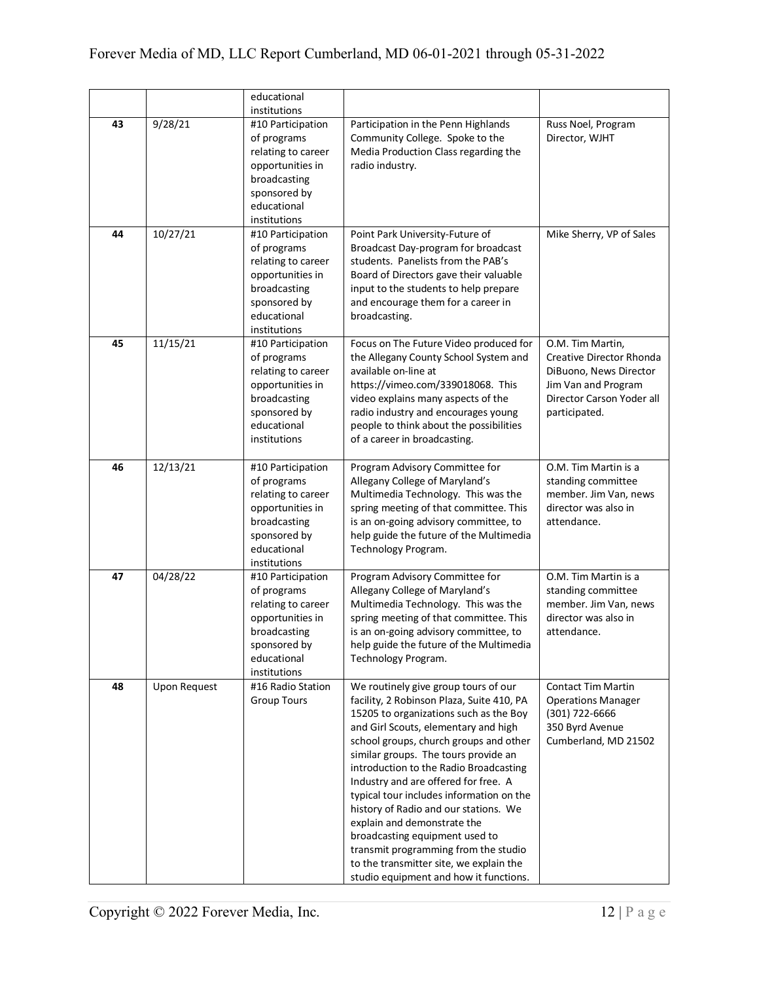|    |                     | educational<br>institutions                                                                                                               |                                                                                                                                                                                                                                                                                                                                                                                                                                                                                                                                                                                                                            |                                                                                                                                             |
|----|---------------------|-------------------------------------------------------------------------------------------------------------------------------------------|----------------------------------------------------------------------------------------------------------------------------------------------------------------------------------------------------------------------------------------------------------------------------------------------------------------------------------------------------------------------------------------------------------------------------------------------------------------------------------------------------------------------------------------------------------------------------------------------------------------------------|---------------------------------------------------------------------------------------------------------------------------------------------|
| 43 | 9/28/21             | #10 Participation<br>of programs<br>relating to career<br>opportunities in<br>broadcasting<br>sponsored by<br>educational<br>institutions | Participation in the Penn Highlands<br>Community College. Spoke to the<br>Media Production Class regarding the<br>radio industry.                                                                                                                                                                                                                                                                                                                                                                                                                                                                                          | Russ Noel, Program<br>Director, WJHT                                                                                                        |
| 44 | 10/27/21            | #10 Participation<br>of programs<br>relating to career<br>opportunities in<br>broadcasting<br>sponsored by<br>educational<br>institutions | Point Park University-Future of<br>Broadcast Day-program for broadcast<br>students. Panelists from the PAB's<br>Board of Directors gave their valuable<br>input to the students to help prepare<br>and encourage them for a career in<br>broadcasting.                                                                                                                                                                                                                                                                                                                                                                     | Mike Sherry, VP of Sales                                                                                                                    |
| 45 | 11/15/21            | #10 Participation<br>of programs<br>relating to career<br>opportunities in<br>broadcasting<br>sponsored by<br>educational<br>institutions | Focus on The Future Video produced for<br>the Allegany County School System and<br>available on-line at<br>https://vimeo.com/339018068. This<br>video explains many aspects of the<br>radio industry and encourages young<br>people to think about the possibilities<br>of a career in broadcasting.                                                                                                                                                                                                                                                                                                                       | O.M. Tim Martin,<br>Creative Director Rhonda<br>DiBuono, News Director<br>Jim Van and Program<br>Director Carson Yoder all<br>participated. |
| 46 | 12/13/21            | #10 Participation<br>of programs<br>relating to career<br>opportunities in<br>broadcasting<br>sponsored by<br>educational<br>institutions | Program Advisory Committee for<br>Allegany College of Maryland's<br>Multimedia Technology. This was the<br>spring meeting of that committee. This<br>is an on-going advisory committee, to<br>help guide the future of the Multimedia<br>Technology Program.                                                                                                                                                                                                                                                                                                                                                               | O.M. Tim Martin is a<br>standing committee<br>member. Jim Van, news<br>director was also in<br>attendance.                                  |
| 47 | 04/28/22            | #10 Participation<br>of programs<br>relating to career<br>opportunities in<br>broadcasting<br>sponsored by<br>educational<br>institutions | Program Advisory Committee for<br>Allegany College of Maryland's<br>Multimedia Technology. This was the<br>spring meeting of that committee. This<br>is an on-going advisory committee, to<br>help guide the future of the Multimedia<br>Technology Program.                                                                                                                                                                                                                                                                                                                                                               | O.M. Tim Martin is a<br>standing committee<br>member. Jim Van, news<br>director was also in<br>attendance.                                  |
| 48 | <b>Upon Request</b> | #16 Radio Station<br><b>Group Tours</b>                                                                                                   | We routinely give group tours of our<br>facility, 2 Robinson Plaza, Suite 410, PA<br>15205 to organizations such as the Boy<br>and Girl Scouts, elementary and high<br>school groups, church groups and other<br>similar groups. The tours provide an<br>introduction to the Radio Broadcasting<br>Industry and are offered for free. A<br>typical tour includes information on the<br>history of Radio and our stations. We<br>explain and demonstrate the<br>broadcasting equipment used to<br>transmit programming from the studio<br>to the transmitter site, we explain the<br>studio equipment and how it functions. | <b>Contact Tim Martin</b><br><b>Operations Manager</b><br>(301) 722-6666<br>350 Byrd Avenue<br>Cumberland, MD 21502                         |